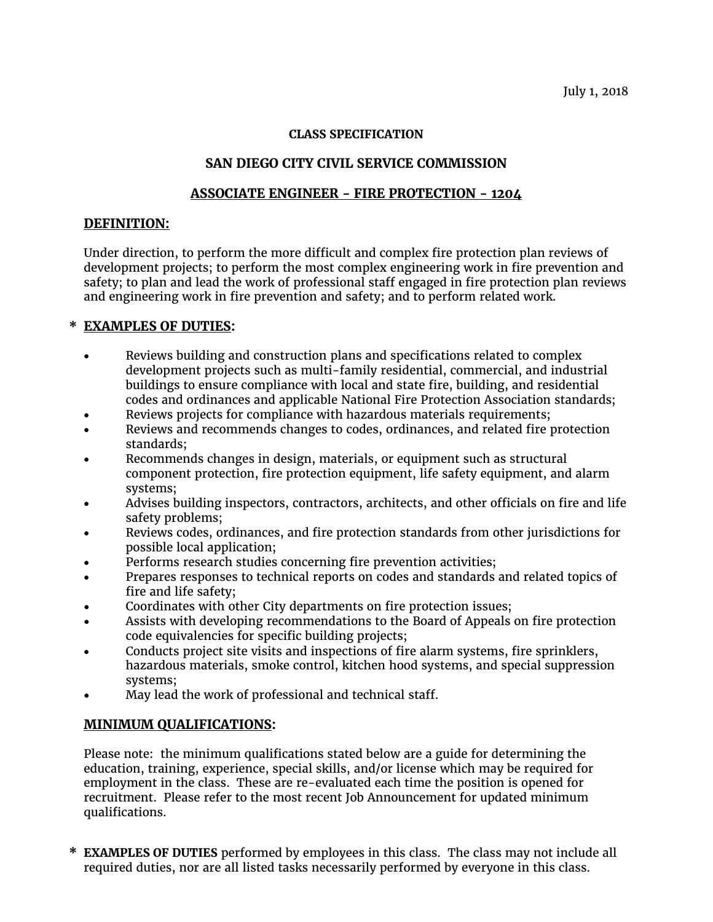#### **CLASS SPECIFICATION**

# **SAN DIEGO CITY CIVIL SERVICE COMMISSION**

### **ASSOCIATE ENGINEER - FIRE PROTECTION - 1204**

### **DEFINITION:**

Under direction, to perform the more difficult and complex fire protection plan reviews of development projects; to perform the most complex engineering work in fire prevention and safety; to plan and lead the work of professional staff engaged in fire protection plan reviews and engineering work in fire prevention and safety; and to perform related work.

## **\* EXAMPLES OF DUTIES:**

- Reviews building and construction plans and specifications related to complex development projects such as multi-family residential, commercial, and industrial buildings to ensure compliance with local and state fire, building, and residential codes and ordinances and applicable National Fire Protection Association standards;
- Reviews projects for compliance with hazardous materials requirements;
- Reviews and recommends changes to codes, ordinances, and related fire protection standards;
- Recommends changes in design, materials, or equipment such as structural component protection, fire protection equipment, life safety equipment, and alarm systems;
- Advises building inspectors, contractors, architects, and other officials on fire and life safety problems;
- Reviews codes, ordinances, and fire protection standards from other jurisdictions for possible local application;
- Performs research studies concerning fire prevention activities;
- Prepares responses to technical reports on codes and standards and related topics of fire and life safety;
- Coordinates with other City departments on fire protection issues;
- Assists with developing recommendations to the Board of Appeals on fire protection code equivalencies for specific building projects;
- Conducts project site visits and inspections of fire alarm systems, fire sprinklers, hazardous materials, smoke control, kitchen hood systems, and special suppression systems;
- May lead the work of professional and technical staff.

## **MINIMUM QUALIFICATIONS:**

Please note: the minimum qualifications stated below are a guide for determining the education, training, experience, special skills, and/or license which may be required for employment in the class. These are re-evaluated each time the position is opened for recruitment. Please refer to the most recent Job Announcement for updated minimum qualifications.

**\* EXAMPLES OF DUTIES** performed by employees in this class. The class may not include all required duties, nor are all listed tasks necessarily performed by everyone in this class.